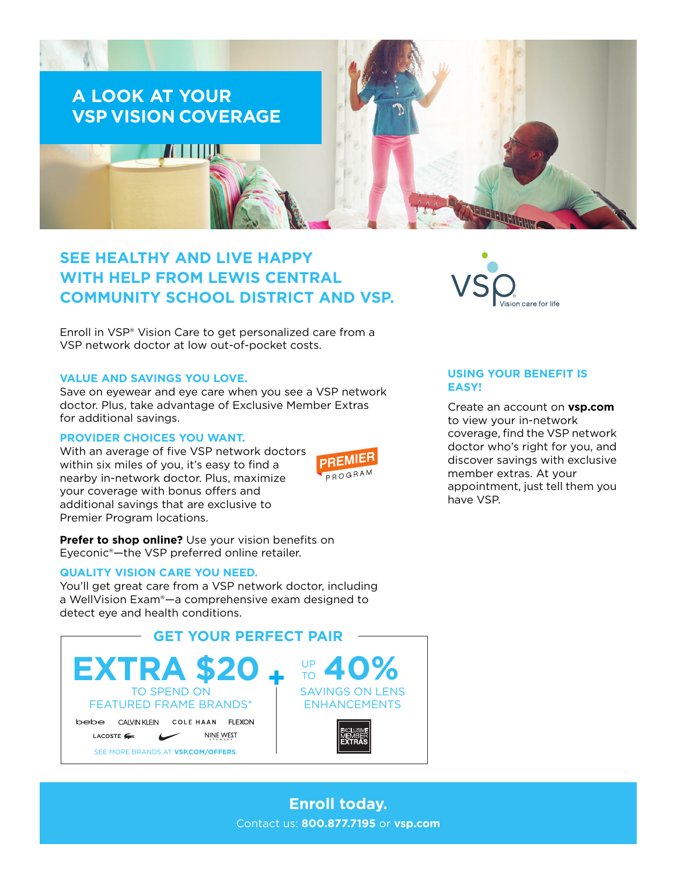

# **SEE HEALTHY AND LIVE HAPPY WITH HELP FROM LEWIS CENTRAL COMMUNITY SCHOOL DISTRICT AND VSP.**

Enroll in VSP® Vision Care to get personalized care from a VSP network doctor at low out-of-pocket costs.

### **VALUE AND SAVINGS YOU LOVE.**

Save on eyewear and eye care when you see a VSP network doctor. Plus, take advantage of Exclusive Member Extras for additional savings.

### **PROVIDER CHOICES YOU WANT.**

With an average of five VSP network doctors within six miles of you, it's easy to find a nearby in-network doctor. Plus, maximize your coverage with bonus offers and additional savings that are exclusive to Premier Program locations.



**Prefer to shop online?** Use your vision benefits on Eyeconic®—the VSP preferred online retailer.

#### **QUALITY VISION CARE YOU NEED.**

You'll get great care from a VSP network doctor, including a WellVision Exam®—a comprehensive exam designed to detect eye and health conditions.





# **USING YOUR BENEFIT IS EASY!**

Create an account on **[vsp.com](http://www.vsp.com)** to view your in-network coverage, find the VSP network doctor who's right for you, and discover savings with exclusive member extras. At your appointment, just tell them you have VSP.

**Enroll today.** Contact us: **800.877.7195** or **[vsp.com](http://www.vsp.com)**